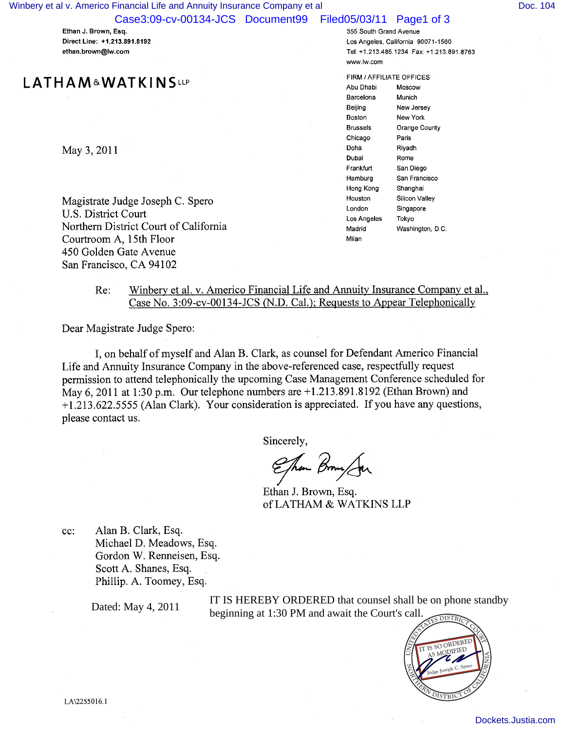Case3:09-cv-00134-JCS Document99 Filed05/03/11 Page1 of 3

Ethan J. Brown, Esq. Direct Line: +1.213.891.8192 ethan.brown@lw.com

# L ATHAM&WATKINSLLP

May 3, 2011

Magistrate Judge Joseph C. Spero U.S. District Court Northern District Court of California Courtroom A, 15th Floor 450 Golden Gate Avenue San Francisco, CA 94102

355 South Grand Avenue Los Angeles, California 90071-1560 Tel: +1.213.485.1234 Fax: +1.213.891.8763 www.lw.com

FIRM /AFFILIATE OFFICES Abu Dhabi Moscow Barcelona Munich Beijing New Jersey Boston New York Brussels Orange County Chicago Paris Doha Riyadh Dubai Rome Frankfurt San Diego Hamburg San Francisco Hong Kong Shanghai Houston Silicon Valley London Singapore Los Angeles Tokyo Madrid Washington, D.C. Milan

# Re: Winbery et al. v. Americo Financial Life and Annuity Insurance Company et al., Case No. 3:09-cv-00134-JCS (N.D. Cal.); Requests to Appear Telephonically

Dear Magistrate Judge Spero:

I, on behalf of myself and Alan B. Clark, as counsel for Defendant Americo Financial Life and Annuity Insurance Company in the above-referenced case, respectfully request permission to attend telephonically the upcoming Case Management Conference scheduled for May 6, 2011 at 1:30 p.m. Our telephone numbers are +1.213.891.8 192 (Ethan Brown) and +1.213.622.5555 (Alan Clark). Your consideration is appreciated. If you have any questions, please contact us.

Sincerely,

Ehm Brown Jan

Ethan J. Brown, Esq. of LATHAM & WATKINS LLP

cc: Alan B. Clark, Esq. Michael D. Meadows, Esq. Gordon W. Renneisen, Esq. Scott A. Shanes, Esq. Phillip. A. Toomey, Esq.

Dated: May 4, 2011

IT IS HEREBY ORDERED that counsel shall be on phone standby beginning at 1:30 PM and await the Court's call.

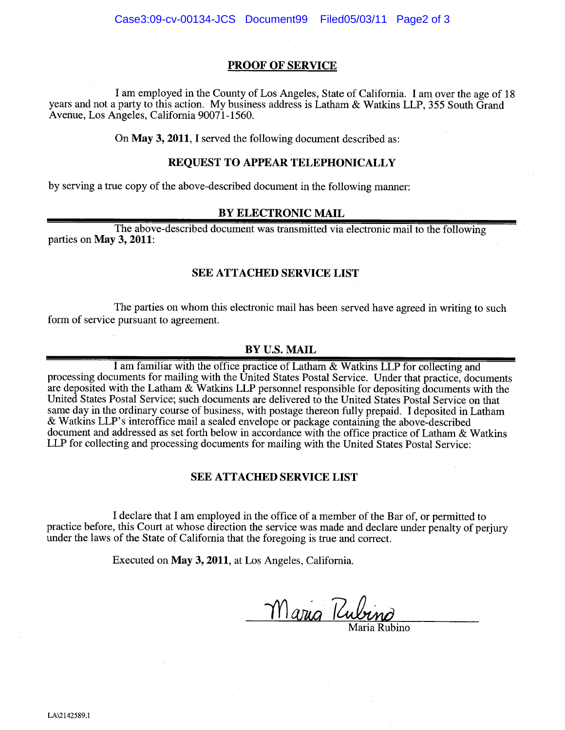# PROOF OF SERVICE

I am employed in the County of Los Angeles, State of California. I am over the age of 18 years and not a party to this action. My business address is Latham & Watkins LLP, 355 South Grand Avenue, Los Angeles, California 90071-1560.

On May 3, 2011, I served the following document described as:

# REQUEST TO APPEAR TELEPHONICALLY

by serving a true copy of the above-described document in the following manner:

# BY ELECTRONIC MAIL

The above-described document was transmitted via electronic mail to the following parties on May 3, 2011:

# SEE ATTACHED SERVICE LIST

The parties on whom this electronic mail has been served have agreed in writing to such form of service pursuant to agreement.

# BY U.S. MAIL

I am familiar with the office practice of Latham & Watkins LLP for collecting and processing documents for mailing with the United States Postal Service. Under that practice, documents are deposited with the Latham & Watkins LLP personnel responsible for depositing documents with the United States Postal Service; such documents are delivered to the United States Postal Service on that same day in the ordinary course of business, with postage thereon fully prepaid. I deposited in Latham & Watkins LLP's interoffice mail a sealed envelope or package containing the above-described document and addressed as set forth below in accordance with the office practice of Latham & Watkins LLP for collecting and processing documents for mailing with the United States Postal Service:

# SEE ATTACHED SERVICE LIST

I declare that I am employed in the office of a member of the Bar of, or permitted to practice before, this Court at whose direction the service was made and declare under penalty of perjury under the laws of the State of California that the foregoing is true and correct.

Executed on May 3, 2011, at Los Angeles, California.

<u>Maria Rubino</u>